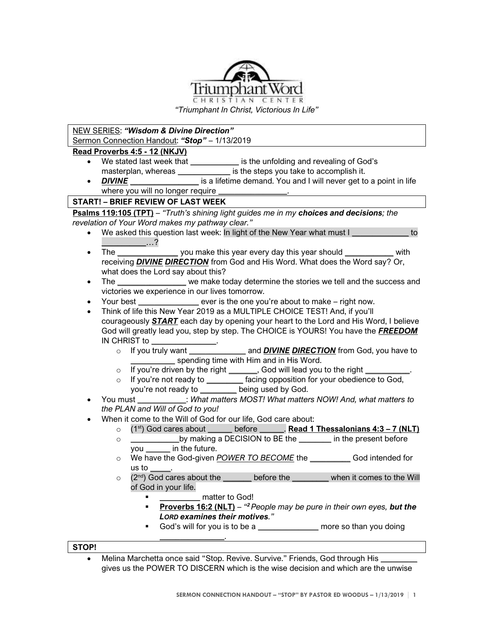

*"Triumphant In Christ, Victorious In Life"*

## NEW SERIES: *"Wisdom & Divine Direction"* Sermon Connection Handout: *"Stop"* – 1/13/2019 **Read Proverbs 4:5 - 12 (NKJV)** • We stated last week that *\_\_\_\_\_\_\_\_\_\_\_\_* is the unfolding and revealing of God's

- masterplan, whereas *\_\_\_\_\_\_\_\_\_\_\_\_\_\_\_\_* is the steps you take to accomplish it.
- **DIVINE** *DIVINE* is a lifetime demand. You and I will never get to a point in life where you will no longer require *\_\_\_\_\_\_\_\_\_\_\_\_\_\_\_\_\_*.

## **START! – BRIEF REVIEW OF LAST WEEK**

**Psalms 119:105 (TPT)** – *"Truth's shining light guides me in my choices and decisions; the revelation of Your Word makes my pathway clear."*

- We asked this question last week: In light of the New Year what must I *\_\_\_\_\_\_\_\_\_\_\_\_\_\_* to *\_\_\_\_\_\_\_\_\_\_\_*…?
- The *\_\_\_\_\_\_\_\_\_\_\_\_\_\_\_* you make this year every day this year should *\_\_\_\_\_\_\_\_\_\_\_\_* with receiving *DIVINE DIRECTION* from God and His Word. What does the Word say? Or, what does the Lord say about this?
- The *\_\_\_\_\_\_\_\_\_\_\_\_\_\_\_\_\_* we make today determine the stories we tell and the success and victories we experience in our lives tomorrow.
- Your best *\_\_\_\_\_\_\_\_\_\_\_\_\_\_\_* ever is the one you're about to make right now.
- Think of life this New Year 2019 as a MULTIPLE CHOICE TEST! And, if you'll courageously *START* each day by opening your heart to the Lord and His Word, I believe God will greatly lead you, step by step. The CHOICE is YOURS! You have the *FREEDOM*  IN CHRIST to *\_\_\_\_\_\_\_\_\_\_\_\_\_\_\_\_*.
	- o If you truly want *\_\_\_\_\_\_\_\_\_\_\_\_\_\_* and *DIVINE DIRECTION* from God, you have to spending time with Him and in His Word.
	- o If you're driven by the right *\_\_\_\_\_\_\_*, God will lead you to the right *\_\_\_\_\_\_\_\_\_\_\_*.
	- o If you're not ready to *\_\_\_\_\_\_\_\_\_* facing opposition for your obedience to God, you're not ready to *\_\_\_\_\_\_\_\_\_* being used by God.
- You must **\_\_\_\_\_\_\_\_\_\_\_\_**: *What matters MOST! What matters NOW! And, what matters to the PLAN and Will of God to you!*
- When it come to the Will of God for our life, God care about:
	- o (1st) God cares about *\_\_\_\_\_\_* before *\_\_\_\_\_\_*. **Read 1 Thessalonians 4:3 – 7 (NLT)**
	- o *\_\_\_\_\_\_\_\_\_\_\_\_*by making a DECISION to BE the *\_\_\_\_\_\_\_\_* in the present before you *\_\_\_\_\_\_* in the future.
	- o We have the God-given *POWER TO BECOME* the *\_\_\_\_\_\_\_\_\_\_* God intended for us to *\_\_\_\_\_*.
	- o (2nd) God cares about the *\_\_\_\_\_\_\_* before the *\_\_\_\_\_\_\_\_\_* when it comes to the Will of God in your life.
		- matter to God!

*\_\_\_\_\_\_\_\_\_\_\_\_\_\_\_\_*.

- **Proverbs 16:2 (NLT)** *" <sup>2</sup>People may be pure in their own eyes, but the LORD examines their motives."*
- God's will for you is to be a *\_\_\_\_\_\_\_\_\_\_\_\_\_\_\_* more so than you doing

## **STOP!**

• Melina Marchetta once said "Stop. Revive. Survive." Friends, God through His *\_\_\_\_\_\_\_\_\_* gives us the POWER TO DISCERN which is the wise decision and which are the unwise